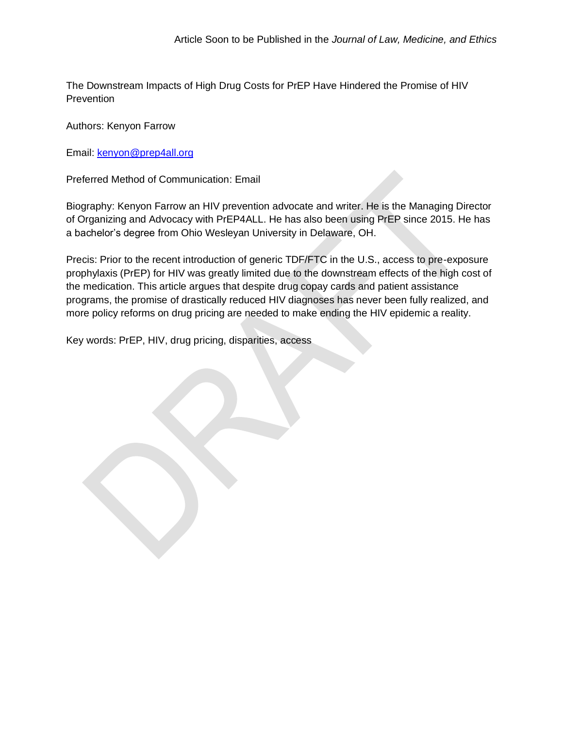The Downstream Impacts of High Drug Costs for PrEP Have Hindered the Promise of HIV **Prevention** 

Authors: Kenyon Farrow

Email: [kenyon@prep4all.org](mailto:kenyon@prep4all.org)

Preferred Method of Communication: Email

Biography: Kenyon Farrow an HIV prevention advocate and writer. He is the Managing Director of Organizing and Advocacy with PrEP4ALL. He has also been using PrEP since 2015. He has a bachelor's degree from Ohio Wesleyan University in Delaware, OH.

Precis: Prior to the recent introduction of generic TDF/FTC in the U.S., access to pre-exposure prophylaxis (PrEP) for HIV was greatly limited due to the downstream effects of the high cost of the medication. This article argues that despite drug copay cards and patient assistance programs, the promise of drastically reduced HIV diagnoses has never been fully realized, and more policy reforms on drug pricing are needed to make ending the HIV epidemic a reality.

Key words: PrEP, HIV, drug pricing, disparities, access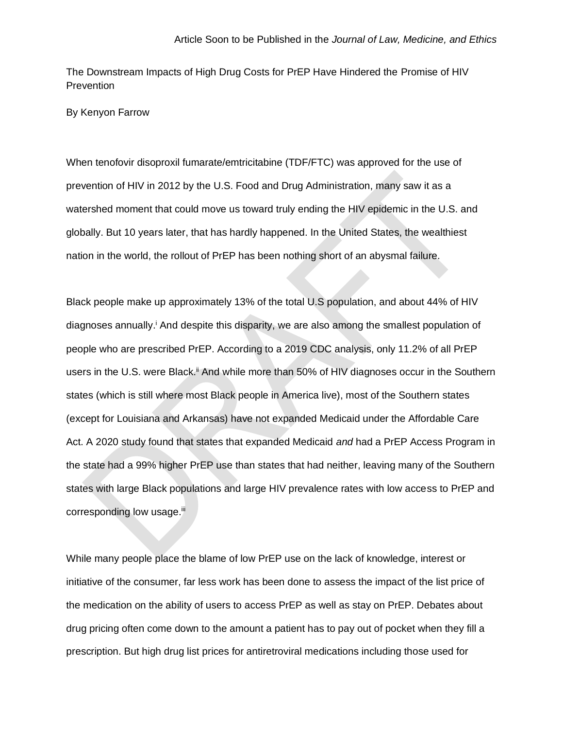The Downstream Impacts of High Drug Costs for PrEP Have Hindered the Promise of HIV **Prevention** 

By Kenyon Farrow

When tenofovir disoproxil fumarate/emtricitabine (TDF/FTC) was approved for the use of prevention of HIV in 2012 by the U.S. Food and Drug Administration, many saw it as a watershed moment that could move us toward truly ending the HIV epidemic in the U.S. and globally. But 10 years later, that has hardly happened. In the United States, the wealthiest nation in the world, the rollout of PrEP has been nothing short of an abysmal failure.

Black people make up approximately 13% of the total U.S population, and about 44% of HIV diagnoses annually.<sup>i</sup> And despite this disparity, we are also among the smallest population of people who are prescribed PrEP. According to a 2019 CDC analysis, only 11.2% of all PrEP users in the U.S. were Black.<sup>ii</sup> And while more than 50% of HIV diagnoses occur in the Southern states (which is still where most Black people in America live), most of the Southern states (except for Louisiana and Arkansas) have not expanded Medicaid under the Affordable Care Act. A 2020 study found that states that expanded Medicaid *and* had a PrEP Access Program in the state had a 99% higher PrEP use than states that had neither, leaving many of the Southern states with large Black populations and large HIV prevalence rates with low access to PrEP and corresponding low usage.<sup>iii</sup>

While many people place the blame of low PrEP use on the lack of knowledge, interest or initiative of the consumer, far less work has been done to assess the impact of the list price of the medication on the ability of users to access PrEP as well as stay on PrEP. Debates about drug pricing often come down to the amount a patient has to pay out of pocket when they fill a prescription. But high drug list prices for antiretroviral medications including those used for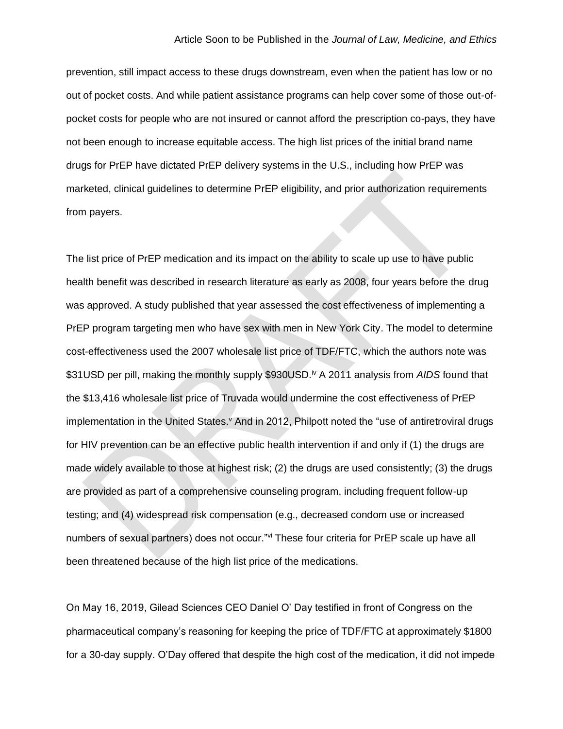prevention, still impact access to these drugs downstream, even when the patient has low or no out of pocket costs. And while patient assistance programs can help cover some of those out-ofpocket costs for people who are not insured or cannot afford the prescription co-pays, they have not been enough to increase equitable access. The high list prices of the initial brand name drugs for PrEP have dictated PrEP delivery systems in the U.S., including how PrEP was marketed, clinical guidelines to determine PrEP eligibility, and prior authorization requirements from payers.

The list price of PrEP medication and its impact on the ability to scale up use to have public health benefit was described in research literature as early as 2008, four years before the drug was approved. A study published that year assessed the cost effectiveness of implementing a PrEP program targeting men who have sex with men in New York City. The model to determine cost-effectiveness used the 2007 wholesale list price of TDF/FTC, which the authors note was \$31USD per pill, making the monthly supply \$930USD.<sup>iv</sup> A 2011 analysis from AIDS found that the \$13,416 wholesale list price of Truvada would undermine the cost effectiveness of PrEP implementation in the United States.<sup>V</sup> And in 2012, Philpott noted the "use of antiretroviral drugs for HIV prevention can be an effective public health intervention if and only if (1) the drugs are made widely available to those at highest risk; (2) the drugs are used consistently; (3) the drugs are provided as part of a comprehensive counseling program, including frequent follow-up testing; and (4) widespread risk compensation (e.g., decreased condom use or increased numbers of sexual partners) does not occur."vi These four criteria for PrEP scale up have all been threatened because of the high list price of the medications.

On May 16, 2019, Gilead Sciences CEO Daniel O' Day testified in front of Congress on the pharmaceutical company's reasoning for keeping the price of TDF/FTC at approximately \$1800 for a 30-day supply. O'Day offered that despite the high cost of the medication, it did not impede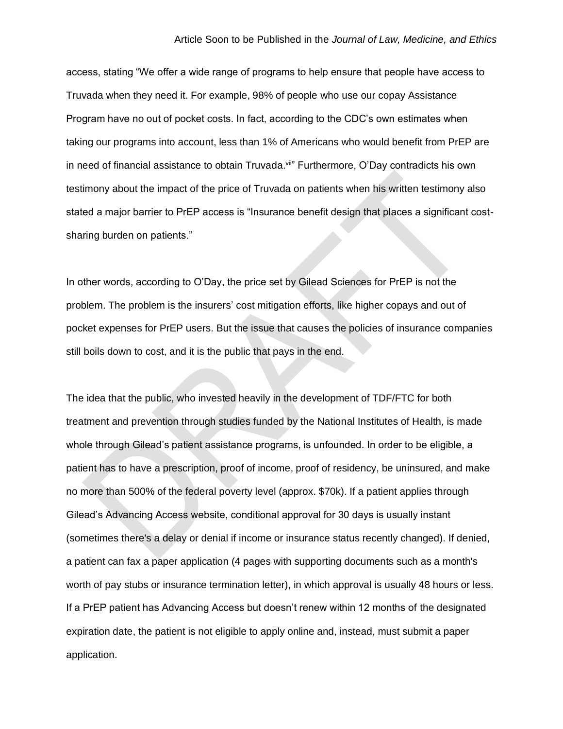access, stating "We offer a wide range of programs to help ensure that people have access to Truvada when they need it. For example, 98% of people who use our copay Assistance Program have no out of pocket costs. In fact, according to the CDC's own estimates when taking our programs into account, less than 1% of Americans who would benefit from PrEP are in need of financial assistance to obtain Truvada.<sup>vii</sup>" Furthermore, O'Day contradicts his own testimony about the impact of the price of Truvada on patients when his written testimony also stated a major barrier to PrEP access is "Insurance benefit design that places a significant costsharing burden on patients."

In other words, according to O'Day, the price set by Gilead Sciences for PrEP is not the problem. The problem is the insurers' cost mitigation efforts, like higher copays and out of pocket expenses for PrEP users. But the issue that causes the policies of insurance companies still boils down to cost, and it is the public that pays in the end.

The idea that the public, who invested heavily in the development of TDF/FTC for both treatment and prevention through studies funded by the National Institutes of Health, is made whole through Gilead's patient assistance programs, is unfounded. In order to be eligible, a patient has to have a prescription, proof of income, proof of residency, be uninsured, and make no more than 500% of the federal poverty level (approx. \$70k). If a patient applies through Gilead's Advancing Access website, conditional approval for 30 days is usually instant (sometimes there's a delay or denial if income or insurance status recently changed). If denied, a patient can fax a paper application (4 pages with supporting documents such as a month's worth of pay stubs or insurance termination letter), in which approval is usually 48 hours or less. If a PrEP patient has Advancing Access but doesn't renew within 12 months of the designated expiration date, the patient is not eligible to apply online and, instead, must submit a paper application.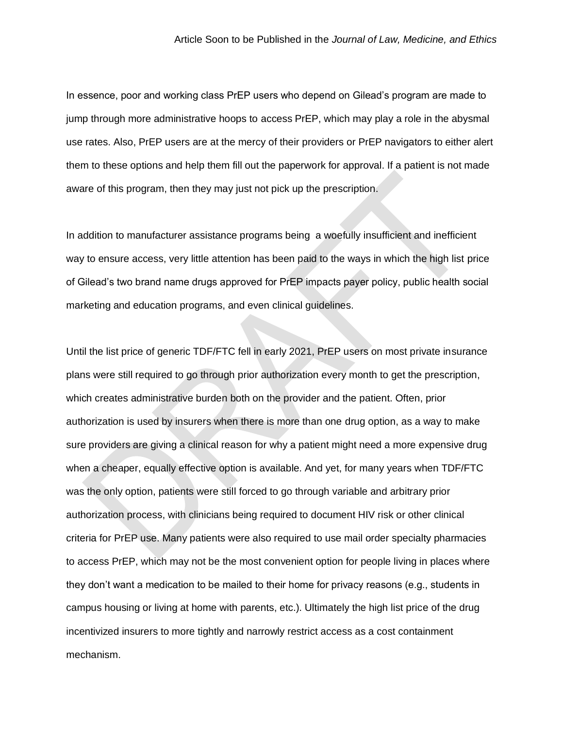In essence, poor and working class PrEP users who depend on Gilead's program are made to jump through more administrative hoops to access PrEP, which may play a role in the abysmal use rates. Also, PrEP users are at the mercy of their providers or PrEP navigators to either alert them to these options and help them fill out the paperwork for approval. If a patient is not made aware of this program, then they may just not pick up the prescription.

In addition to manufacturer assistance programs being a woefully insufficient and inefficient way to ensure access, very little attention has been paid to the ways in which the high list price of Gilead's two brand name drugs approved for PrEP impacts payer policy, public health social marketing and education programs, and even clinical guidelines.

Until the list price of generic TDF/FTC fell in early 2021, PrEP users on most private insurance plans were still required to go through prior authorization every month to get the prescription, which creates administrative burden both on the provider and the patient. Often, prior authorization is used by insurers when there is more than one drug option, as a way to make sure providers are giving a clinical reason for why a patient might need a more expensive drug when a cheaper, equally effective option is available. And yet, for many years when TDF/FTC was the only option, patients were still forced to go through variable and arbitrary prior authorization process, with clinicians being required to document HIV risk or other clinical criteria for PrEP use. Many patients were also required to use mail order specialty pharmacies to access PrEP, which may not be the most convenient option for people living in places where they don't want a medication to be mailed to their home for privacy reasons (e.g., students in campus housing or living at home with parents, etc.). Ultimately the high list price of the drug incentivized insurers to more tightly and narrowly restrict access as a cost containment mechanism.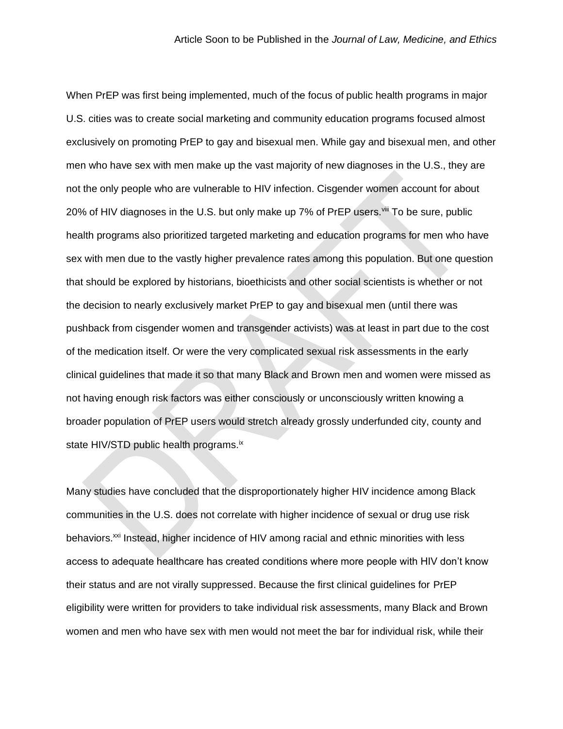When PrEP was first being implemented, much of the focus of public health programs in major U.S. cities was to create social marketing and community education programs focused almost exclusively on promoting PrEP to gay and bisexual men. While gay and bisexual men, and other men who have sex with men make up the vast majority of new diagnoses in the U.S., they are not the only people who are vulnerable to HIV infection. Cisgender women account for about 20% of HIV diagnoses in the U.S. but only make up 7% of PrEP users. Vill To be sure, public health programs also prioritized targeted marketing and education programs for men who have sex with men due to the vastly higher prevalence rates among this population. But one question that should be explored by historians, bioethicists and other social scientists is whether or not the decision to nearly exclusively market PrEP to gay and bisexual men (until there was pushback from cisgender women and transgender activists) was at least in part due to the cost of the medication itself. Or were the very complicated sexual risk assessments in the early clinical guidelines that made it so that many Black and Brown men and women were missed as not having enough risk factors was either consciously or unconsciously written knowing a broader population of PrEP users would stretch already grossly underfunded city, county and state HIV/STD public health programs.<sup>ix</sup>

Many studies have concluded that the disproportionately higher HIV incidence among Black communities in the U.S. does not correlate with higher incidence of sexual or drug use risk behaviors.<sup>xxi</sup> Instead, higher incidence of HIV among racial and ethnic minorities with less access to adequate healthcare has created conditions where more people with HIV don't know their status and are not virally suppressed. Because the first clinical guidelines for PrEP eligibility were written for providers to take individual risk assessments, many Black and Brown women and men who have sex with men would not meet the bar for individual risk, while their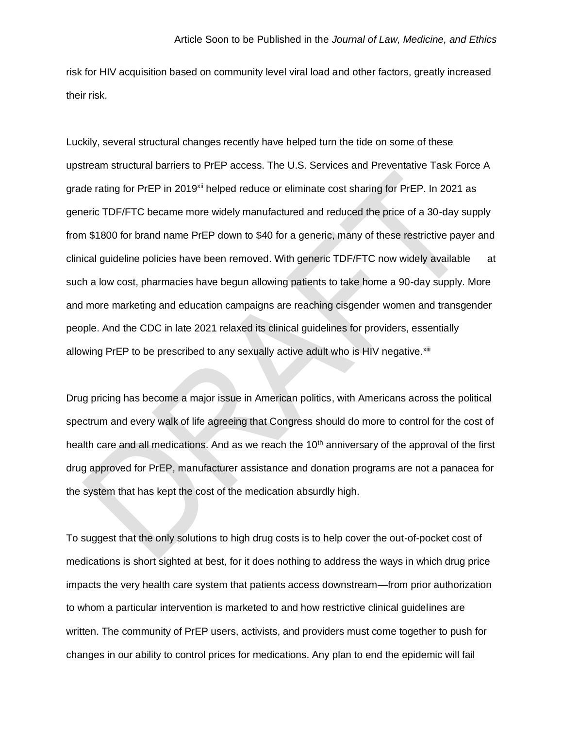risk for HIV acquisition based on community level viral load and other factors, greatly increased their risk.

Luckily, several structural changes recently have helped turn the tide on some of these upstream structural barriers to PrEP access. The U.S. Services and Preventative Task Force A grade rating for PrEP in 2019<sup>xii</sup> helped reduce or eliminate cost sharing for PrEP. In 2021 as generic TDF/FTC became more widely manufactured and reduced the price of a 30-day supply from \$1800 for brand name PrEP down to \$40 for a generic, many of these restrictive payer and clinical guideline policies have been removed. With generic TDF/FTC now widely available at such a low cost, pharmacies have begun allowing patients to take home a 90-day supply. More and more marketing and education campaigns are reaching cisgender women and transgender people. And the CDC in late 2021 relaxed its clinical guidelines for providers, essentially allowing PrEP to be prescribed to any sexually active adult who is HIV negative.<sup>xiii</sup>

Drug pricing has become a major issue in American politics, with Americans across the political spectrum and every walk of life agreeing that Congress should do more to control for the cost of health care and all medications. And as we reach the 10<sup>th</sup> anniversary of the approval of the first drug approved for PrEP, manufacturer assistance and donation programs are not a panacea for the system that has kept the cost of the medication absurdly high.

To suggest that the only solutions to high drug costs is to help cover the out-of-pocket cost of medications is short sighted at best, for it does nothing to address the ways in which drug price impacts the very health care system that patients access downstream—from prior authorization to whom a particular intervention is marketed to and how restrictive clinical guidelines are written. The community of PrEP users, activists, and providers must come together to push for changes in our ability to control prices for medications. Any plan to end the epidemic will fail